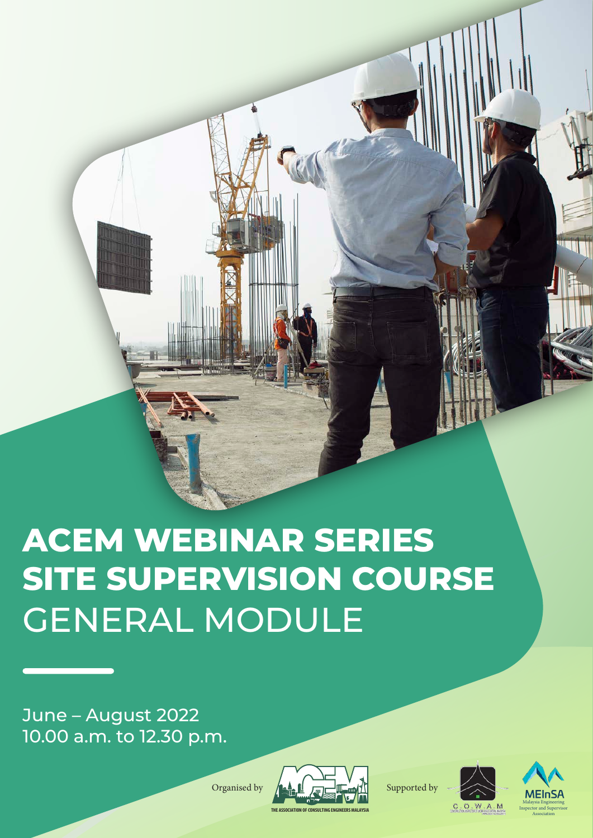# **ACEM WEBINAR SERIES SITE SUPERVISION COURSE** GENERAL MODULE

June – August 2022 10.00 a.m. to 12.30 p.m.



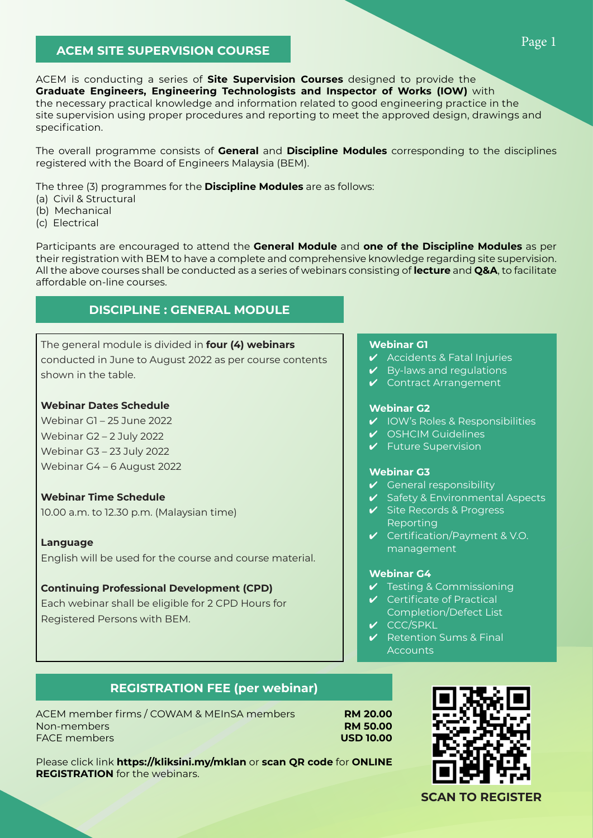# **ACEM SITE SUPERVISION COURSE**

ACEM is conducting a series of **Site Supervision Courses** designed to provide the **Graduate Engineers, Engineering Technologists and Inspector of Works (IOW)** with the necessary practical knowledge and information related to good engineering practice in the site supervision using proper procedures and reporting to meet the approved design, drawings and specification.

The overall programme consists of **General** and **Discipline Modules** corresponding to the disciplines registered with the Board of Engineers Malaysia (BEM).

The three (3) programmes for the **Discipline Modules** are as follows:

- (a) Civil & Structural
- (b) Mechanical
- (c) Electrical

Participants are encouraged to attend the **General Module** and **one of the Discipline Modules** as per their registration with BEM to have a complete and comprehensive knowledge regarding site supervision. All the above courses shall be conducted as a series of webinars consisting of **lecture** and **Q&A**, to facilitate affordable on-line courses.

# **DISCIPLINE : GENERAL MODULE**

# The general module is divided in **four (4) webinars** conducted in June to August 2022 as per course contents shown in the table.

#### **Webinar Dates Schedule**

Webinar G1 – 25 June 2022 Webinar G2 – 2 July 2022 Webinar G3 – 23 July 2022 Webinar G4 – 6 August 2022

### **Webinar Time Schedule**

10.00 a.m. to 12.30 p.m. (Malaysian time)

#### **Language**

English will be used for the course and course material.

#### **Continuing Professional Development (CPD)**

Each webinar shall be eligible for 2 CPD Hours for Registered Persons with BEM.

#### **Webinar G1**

- $\boldsymbol{\checkmark}$  Accidents & Fatal Injuries
- $\vee$  By-laws and regulations
- ✔ Contract Arrangement

#### **Webinar G2**

- ✔ IOW's Roles & Responsibilities
- ✔ OSHCIM Guidelines
- ✔ Future Supervision

#### **Webinar G3**

- $\vee$  General responsibility
- ✔ Safety & Environmental Aspects
- ✔ Site Records & Progress Reporting
- $\vee$  Certification/Payment & V.O. management

#### **Webinar G4**

- ✔ Testing & Commissioning
- ✔ Certificate of Practical Completion/Defect List
- ✔ CCC/SPKL
- $\vee$  Retention Sums & Final **Accounts**

# **REGISTRATION FEE (per webinar)**

Please click link **https://kliksini.my/mklan** or **scan QR code** for **ONLINE**

ACEM member firms / COWAM & MEInSA members **RM 20.00** Non-members **RM 50.00** FACE members **USD 10.00**

**REGISTRATION** for the webinars.



Page 1